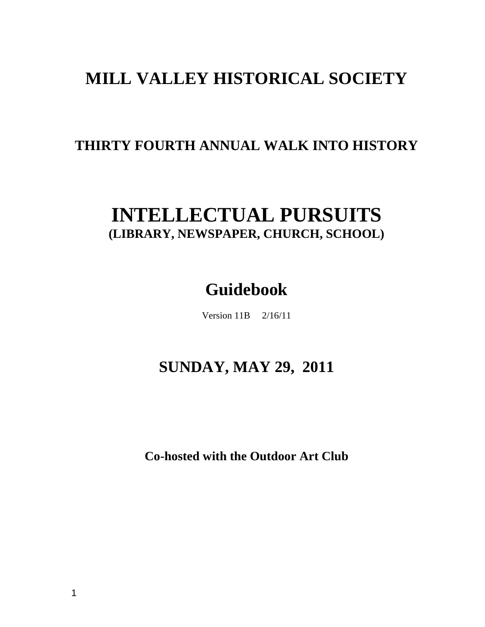# **MILL VALLEY HISTORICAL SOCIETY**

# **THIRTY FOURTH ANNUAL WALK INTO HISTORY**

# **INTELLECTUAL PURSUITS (LIBRARY, NEWSPAPER, CHURCH, SCHOOL)**

# **Guidebook**

Version 11B 2/16/11

# **SUNDAY, MAY 29, 2011**

**Co-hosted with the Outdoor Art Club**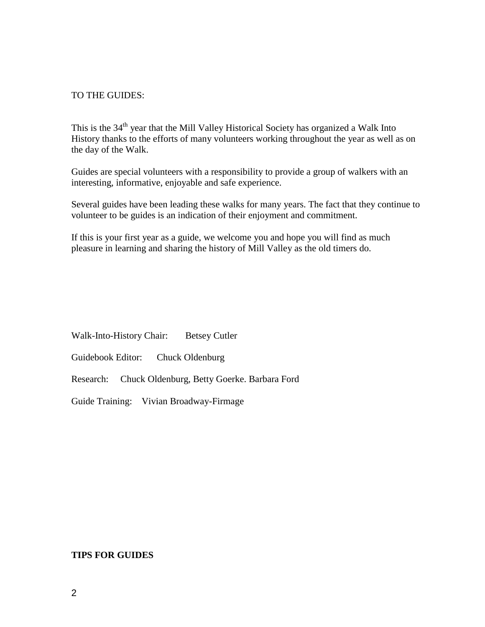#### TO THE GUIDES:

This is the 34<sup>th</sup> year that the Mill Valley Historical Society has organized a Walk Into History thanks to the efforts of many volunteers working throughout the year as well as on the day of the Walk.

Guides are special volunteers with a responsibility to provide a group of walkers with an interesting, informative, enjoyable and safe experience.

Several guides have been leading these walks for many years. The fact that they continue to volunteer to be guides is an indication of their enjoyment and commitment.

If this is your first year as a guide, we welcome you and hope you will find as much pleasure in learning and sharing the history of Mill Valley as the old timers do.

Walk-Into-History Chair: Betsey Cutler

Guidebook Editor: Chuck Oldenburg

Research: Chuck Oldenburg, Betty Goerke. Barbara Ford

Guide Training: Vivian Broadway-Firmage

#### **TIPS FOR GUIDES**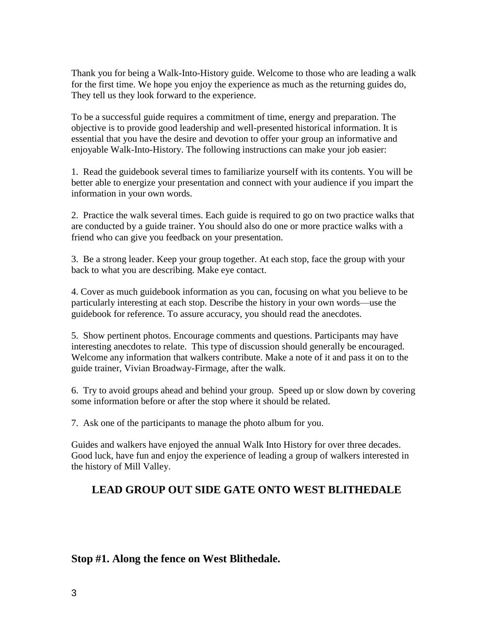Thank you for being a Walk-Into-History guide. Welcome to those who are leading a walk for the first time. We hope you enjoy the experience as much as the returning guides do, They tell us they look forward to the experience.

To be a successful guide requires a commitment of time, energy and preparation. The objective is to provide good leadership and well-presented historical information. It is essential that you have the desire and devotion to offer your group an informative and enjoyable Walk-Into-History. The following instructions can make your job easier:

1. Read the guidebook several times to familiarize yourself with its contents. You will be better able to energize your presentation and connect with your audience if you impart the information in your own words.

2. Practice the walk several times. Each guide is required to go on two practice walks that are conducted by a guide trainer. You should also do one or more practice walks with a friend who can give you feedback on your presentation.

3. Be a strong leader. Keep your group together. At each stop, face the group with your back to what you are describing. Make eye contact.

4. Cover as much guidebook information as you can, focusing on what you believe to be particularly interesting at each stop. Describe the history in your own words—use the guidebook for reference. To assure accuracy, you should read the anecdotes.

5. Show pertinent photos. Encourage comments and questions. Participants may have interesting anecdotes to relate. This type of discussion should generally be encouraged. Welcome any information that walkers contribute. Make a note of it and pass it on to the guide trainer, Vivian Broadway-Firmage, after the walk.

6. Try to avoid groups ahead and behind your group. Speed up or slow down by covering some information before or after the stop where it should be related.

7. Ask one of the participants to manage the photo album for you.

Guides and walkers have enjoyed the annual Walk Into History for over three decades. Good luck, have fun and enjoy the experience of leading a group of walkers interested in the history of Mill Valley.

## **LEAD GROUP OUT SIDE GATE ONTO WEST BLITHEDALE**

### **Stop #1. Along the fence on West Blithedale.**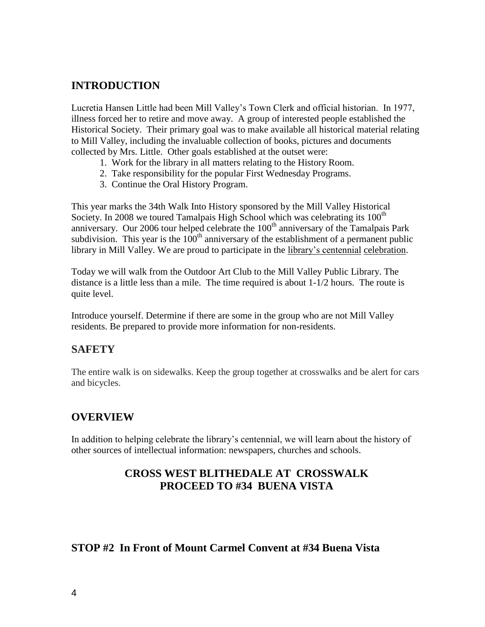### **INTRODUCTION**

Lucretia Hansen Little had been Mill Valley's Town Clerk and official historian. In 1977, illness forced her to retire and move away. A group of interested people established the Historical Society. Their primary goal was to make available all historical material relating to Mill Valley, including the invaluable collection of books, pictures and documents collected by Mrs. Little. Other goals established at the outset were:

- 1. Work for the library in all matters relating to the History Room.
- 2. Take responsibility for the popular First Wednesday Programs.
- 3. Continue the Oral History Program.

This year marks the 34th Walk Into History sponsored by the Mill Valley Historical Society. In 2008 we toured Tamalpais High School which was celebrating its  $100<sup>th</sup>$ anniversary. Our 2006 tour helped celebrate the  $100<sup>th</sup>$  anniversary of the Tamalpais Park subdivision. This year is the  $100<sup>th</sup>$  anniversary of the establishment of a permanent public library in Mill Valley. We are proud to participate in the library's centennial celebration.

Today we will walk from the Outdoor Art Club to the Mill Valley Public Library. The distance is a little less than a mile. The time required is about 1-1/2 hours. The route is quite level.

Introduce yourself. Determine if there are some in the group who are not Mill Valley residents. Be prepared to provide more information for non-residents.

### **SAFETY**

The entire walk is on sidewalks. Keep the group together at crosswalks and be alert for cars and bicycles.

### **OVERVIEW**

In addition to helping celebrate the library's centennial, we will learn about the history of other sources of intellectual information: newspapers, churches and schools.

## **CROSS WEST BLITHEDALE AT CROSSWALK PROCEED TO #34 BUENA VISTA**

#### **STOP #2 In Front of Mount Carmel Convent at #34 Buena Vista**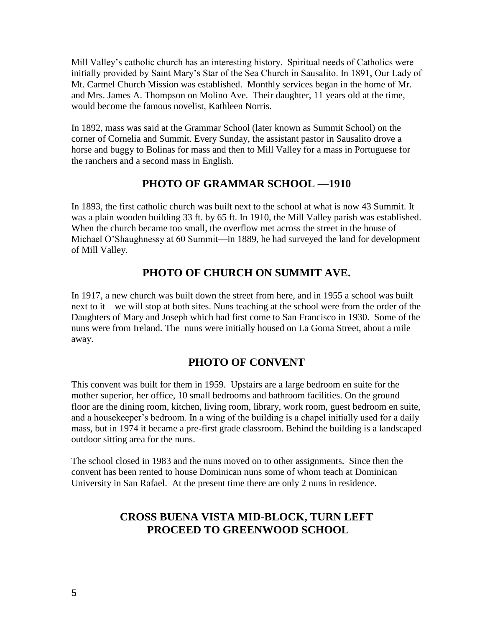Mill Valley's catholic church has an interesting history. Spiritual needs of Catholics were initially provided by Saint Mary's Star of the Sea Church in Sausalito. In 1891, Our Lady of Mt. Carmel Church Mission was established. Monthly services began in the home of Mr. and Mrs. James A. Thompson on Molino Ave. Their daughter, 11 years old at the time, would become the famous novelist, Kathleen Norris.

In 1892, mass was said at the Grammar School (later known as Summit School) on the corner of Cornelia and Summit. Every Sunday, the assistant pastor in Sausalito drove a horse and buggy to Bolinas for mass and then to Mill Valley for a mass in Portuguese for the ranchers and a second mass in English.

### **PHOTO OF GRAMMAR SCHOOL —1910**

In 1893, the first catholic church was built next to the school at what is now 43 Summit. It was a plain wooden building 33 ft. by 65 ft. In 1910, the Mill Valley parish was established. When the church became too small, the overflow met across the street in the house of Michael O'Shaughnessy at 60 Summit—in 1889, he had surveyed the land for development of Mill Valley.

## **PHOTO OF CHURCH ON SUMMIT AVE.**

In 1917, a new church was built down the street from here, and in 1955 a school was built next to it—we will stop at both sites. Nuns teaching at the school were from the order of the Daughters of Mary and Joseph which had first come to San Francisco in 1930. Some of the nuns were from Ireland. The nuns were initially housed on La Goma Street, about a mile away.

## **PHOTO OF CONVENT**

This convent was built for them in 1959. Upstairs are a large bedroom en suite for the mother superior, her office, 10 small bedrooms and bathroom facilities. On the ground floor are the dining room, kitchen, living room, library, work room, guest bedroom en suite, and a housekeeper's bedroom. In a wing of the building is a chapel initially used for a daily mass, but in 1974 it became a pre-first grade classroom. Behind the building is a landscaped outdoor sitting area for the nuns.

The school closed in 1983 and the nuns moved on to other assignments. Since then the convent has been rented to house Dominican nuns some of whom teach at Dominican University in San Rafael. At the present time there are only 2 nuns in residence.

## **CROSS BUENA VISTA MID-BLOCK, TURN LEFT PROCEED TO GREENWOOD SCHOOL**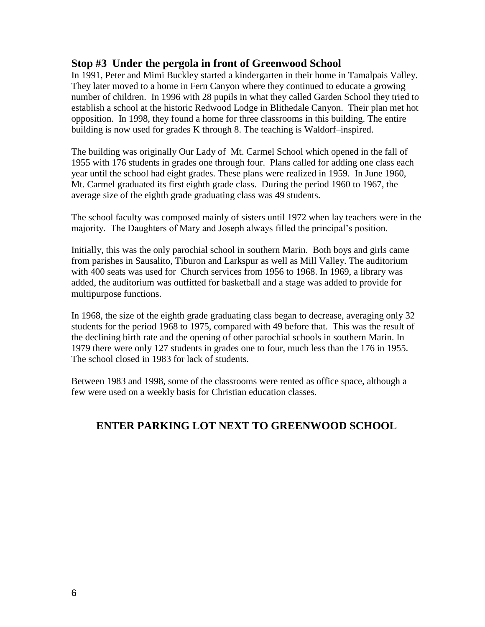#### **Stop #3 Under the pergola in front of Greenwood School**

In 1991, Peter and Mimi Buckley started a kindergarten in their home in Tamalpais Valley. They later moved to a home in Fern Canyon where they continued to educate a growing number of children. In 1996 with 28 pupils in what they called Garden School they tried to establish a school at the historic Redwood Lodge in Blithedale Canyon. Their plan met hot opposition. In 1998, they found a home for three classrooms in this building. The entire building is now used for grades K through 8. The teaching is Waldorf–inspired.

The building was originally Our Lady of Mt. Carmel School which opened in the fall of 1955 with 176 students in grades one through four. Plans called for adding one class each year until the school had eight grades. These plans were realized in 1959. In June 1960, Mt. Carmel graduated its first eighth grade class. During the period 1960 to 1967, the average size of the eighth grade graduating class was 49 students.

The school faculty was composed mainly of sisters until 1972 when lay teachers were in the majority. The Daughters of Mary and Joseph always filled the principal's position.

Initially, this was the only parochial school in southern Marin. Both boys and girls came from parishes in Sausalito, Tiburon and Larkspur as well as Mill Valley. The auditorium with 400 seats was used for Church services from 1956 to 1968. In 1969, a library was added, the auditorium was outfitted for basketball and a stage was added to provide for multipurpose functions.

In 1968, the size of the eighth grade graduating class began to decrease, averaging only 32 students for the period 1968 to 1975, compared with 49 before that. This was the result of the declining birth rate and the opening of other parochial schools in southern Marin. In 1979 there were only 127 students in grades one to four, much less than the 176 in 1955. The school closed in 1983 for lack of students.

Between 1983 and 1998, some of the classrooms were rented as office space, although a few were used on a weekly basis for Christian education classes.

## **ENTER PARKING LOT NEXT TO GREENWOOD SCHOOL**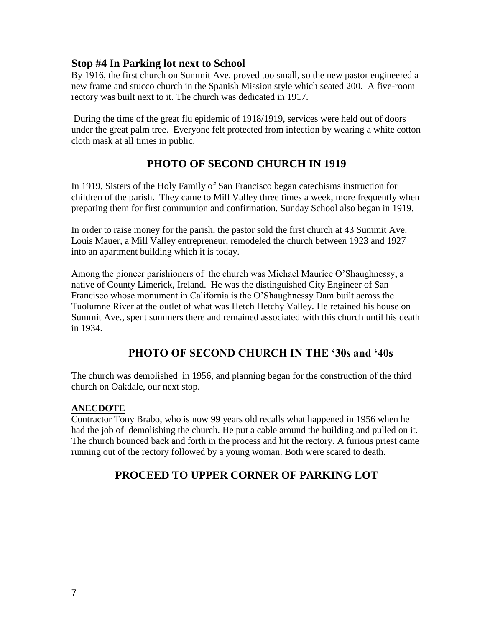#### **Stop #4 In Parking lot next to School**

By 1916, the first church on Summit Ave. proved too small, so the new pastor engineered a new frame and stucco church in the Spanish Mission style which seated 200. A five-room rectory was built next to it. The church was dedicated in 1917.

During the time of the great flu epidemic of 1918/1919, services were held out of doors under the great palm tree. Everyone felt protected from infection by wearing a white cotton cloth mask at all times in public.

## **PHOTO OF SECOND CHURCH IN 1919**

In 1919, Sisters of the Holy Family of San Francisco began catechisms instruction for children of the parish. They came to Mill Valley three times a week, more frequently when preparing them for first communion and confirmation. Sunday School also began in 1919.

In order to raise money for the parish, the pastor sold the first church at 43 Summit Ave. Louis Mauer, a Mill Valley entrepreneur, remodeled the church between 1923 and 1927 into an apartment building which it is today.

Among the pioneer parishioners of the church was Michael Maurice O'Shaughnessy, a native of County Limerick, Ireland. He was the distinguished City Engineer of San Francisco whose monument in California is the O'Shaughnessy Dam built across the Tuolumne River at the outlet of what was Hetch Hetchy Valley. He retained his house on Summit Ave., spent summers there and remained associated with this church until his death in 1934.

### **PHOTO OF SECOND CHURCH IN THE '30s and '40s**

The church was demolished in 1956, and planning began for the construction of the third church on Oakdale, our next stop.

#### **ANECDOTE**

Contractor Tony Brabo, who is now 99 years old recalls what happened in 1956 when he had the job of demolishing the church. He put a cable around the building and pulled on it. The church bounced back and forth in the process and hit the rectory. A furious priest came running out of the rectory followed by a young woman. Both were scared to death.

## **PROCEED TO UPPER CORNER OF PARKING LOT**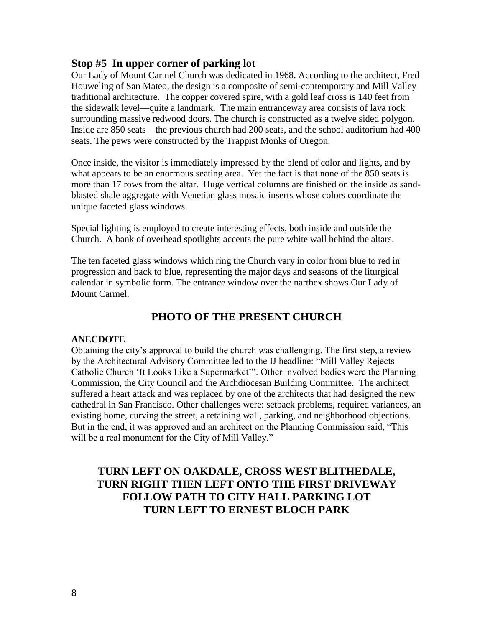#### **Stop #5 In upper corner of parking lot**

Our Lady of Mount Carmel Church was dedicated in 1968. According to the architect, Fred Houweling of San Mateo, the design is a composite of semi-contemporary and Mill Valley traditional architecture. The copper covered spire, with a gold leaf cross is 140 feet from the sidewalk level—quite a landmark. The main entranceway area consists of lava rock surrounding massive redwood doors. The church is constructed as a twelve sided polygon. Inside are 850 seats—the previous church had 200 seats, and the school auditorium had 400 seats. The pews were constructed by the Trappist Monks of Oregon.

Once inside, the visitor is immediately impressed by the blend of color and lights, and by what appears to be an enormous seating area. Yet the fact is that none of the 850 seats is more than 17 rows from the altar. Huge vertical columns are finished on the inside as sandblasted shale aggregate with Venetian glass mosaic inserts whose colors coordinate the unique faceted glass windows.

Special lighting is employed to create interesting effects, both inside and outside the Church. A bank of overhead spotlights accents the pure white wall behind the altars.

The ten faceted glass windows which ring the Church vary in color from blue to red in progression and back to blue, representing the major days and seasons of the liturgical calendar in symbolic form. The entrance window over the narthex shows Our Lady of Mount Carmel.

## **PHOTO OF THE PRESENT CHURCH**

#### **ANECDOTE**

Obtaining the city's approval to build the church was challenging. The first step, a review by the Architectural Advisory Committee led to the IJ headline: "Mill Valley Rejects Catholic Church 'It Looks Like a Supermarket'". Other involved bodies were the Planning Commission, the City Council and the Archdiocesan Building Committee. The architect suffered a heart attack and was replaced by one of the architects that had designed the new cathedral in San Francisco. Other challenges were: setback problems, required variances, an existing home, curving the street, a retaining wall, parking, and neighborhood objections. But in the end, it was approved and an architect on the Planning Commission said, "This will be a real monument for the City of Mill Valley."

## **TURN LEFT ON OAKDALE, CROSS WEST BLITHEDALE, TURN RIGHT THEN LEFT ONTO THE FIRST DRIVEWAY FOLLOW PATH TO CITY HALL PARKING LOT TURN LEFT TO ERNEST BLOCH PARK**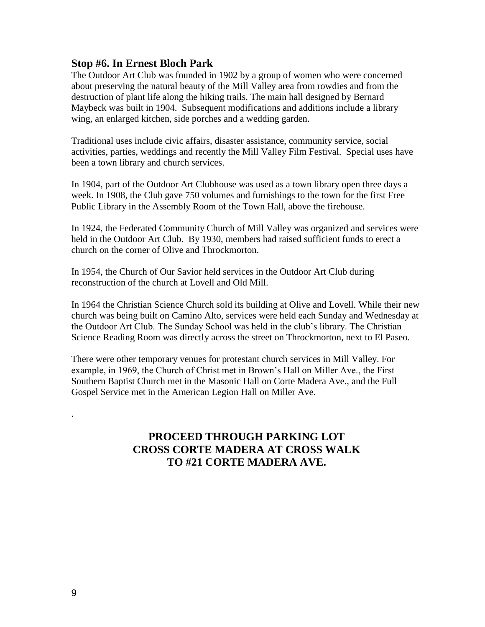#### **Stop #6. In Ernest Bloch Park**

The Outdoor Art Club was founded in 1902 by a group of women who were concerned about preserving the natural beauty of the Mill Valley area from rowdies and from the destruction of plant life along the hiking trails. The main hall designed by Bernard Maybeck was built in 1904. Subsequent modifications and additions include a library wing, an enlarged kitchen, side porches and a wedding garden.

Traditional uses include civic affairs, disaster assistance, community service, social activities, parties, weddings and recently the Mill Valley Film Festival. Special uses have been a town library and church services.

In 1904, part of the Outdoor Art Clubhouse was used as a town library open three days a week. In 1908, the Club gave 750 volumes and furnishings to the town for the first Free Public Library in the Assembly Room of the Town Hall, above the firehouse.

In 1924, the Federated Community Church of Mill Valley was organized and services were held in the Outdoor Art Club. By 1930, members had raised sufficient funds to erect a church on the corner of Olive and Throckmorton.

In 1954, the Church of Our Savior held services in the Outdoor Art Club during reconstruction of the church at Lovell and Old Mill.

In 1964 the Christian Science Church sold its building at Olive and Lovell. While their new church was being built on Camino Alto, services were held each Sunday and Wednesday at the Outdoor Art Club. The Sunday School was held in the club's library. The Christian Science Reading Room was directly across the street on Throckmorton, next to El Paseo.

There were other temporary venues for protestant church services in Mill Valley. For example, in 1969, the Church of Christ met in Brown's Hall on Miller Ave., the First Southern Baptist Church met in the Masonic Hall on Corte Madera Ave., and the Full Gospel Service met in the American Legion Hall on Miller Ave.

## **PROCEED THROUGH PARKING LOT CROSS CORTE MADERA AT CROSS WALK TO #21 CORTE MADERA AVE.**

.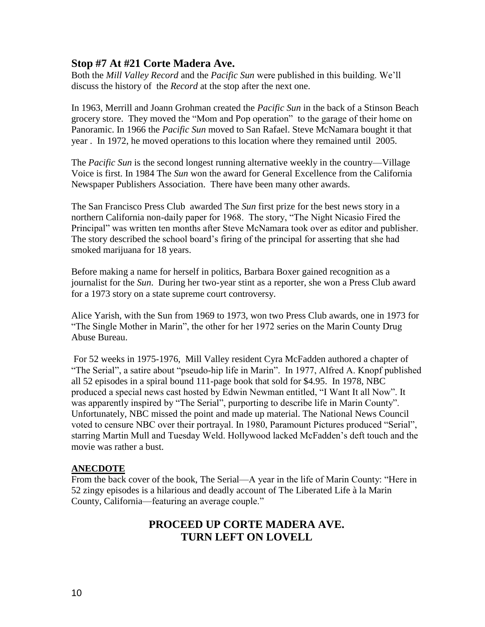#### **Stop #7 At #21 Corte Madera Ave.**

Both the *Mill Valley Record* and the *Pacific Sun* were published in this building. We'll discuss the history of the *Record* at the stop after the next one.

In 1963, Merrill and Joann Grohman created the *Pacific Sun* in the back of a Stinson Beach grocery store. They moved the "Mom and Pop operation" to the garage of their home on Panoramic. In 1966 the *Pacific Sun* moved to San Rafael. Steve McNamara bought it that year . In 1972, he moved operations to this location where they remained until 2005.

The *Pacific Sun* is the second longest running alternative weekly in the country—Village Voice is first. In 1984 The *Sun* won the award for General Excellence from the California Newspaper Publishers Association. There have been many other awards.

The San Francisco Press Club awarded The *Sun* first prize for the best news story in a northern California non-daily paper for 1968. The story, "The Night Nicasio Fired the Principal" was written ten months after Steve McNamara took over as editor and publisher. The story described the school board's firing of the principal for asserting that she had smoked marijuana for 18 years.

Before making a name for herself in politics, Barbara Boxer gained recognition as a journalist for the *Sun*. During her two-year stint as a reporter, she won a Press Club award for a 1973 story on a state supreme court controversy.

Alice Yarish, with the Sun from 1969 to 1973, won two Press Club awards, one in 1973 for "The Single Mother in Marin", the other for her 1972 series on the Marin County Drug Abuse Bureau.

For 52 weeks in 1975-1976, Mill Valley resident Cyra McFadden authored a chapter of "The Serial", a satire about "pseudo-hip life in Marin". In 1977, Alfred A. Knopf published all 52 episodes in a spiral bound 111-page book that sold for \$4.95. In 1978, NBC produced a special news cast hosted by Edwin Newman entitled, "I Want It all Now". It was apparently inspired by "The Serial", purporting to describe life in Marin County". Unfortunately, NBC missed the point and made up material. The National News Council voted to censure NBC over their portrayal. In 1980, Paramount Pictures produced "Serial", starring Martin Mull and Tuesday Weld. Hollywood lacked McFadden's deft touch and the movie was rather a bust.

#### **ANECDOTE**

From the back cover of the book, The Serial—A year in the life of Marin County: "Here in 52 zingy episodes is a hilarious and deadly account of The Liberated Life à la Marin County, California—featuring an average couple."

## **PROCEED UP CORTE MADERA AVE. TURN LEFT ON LOVELL**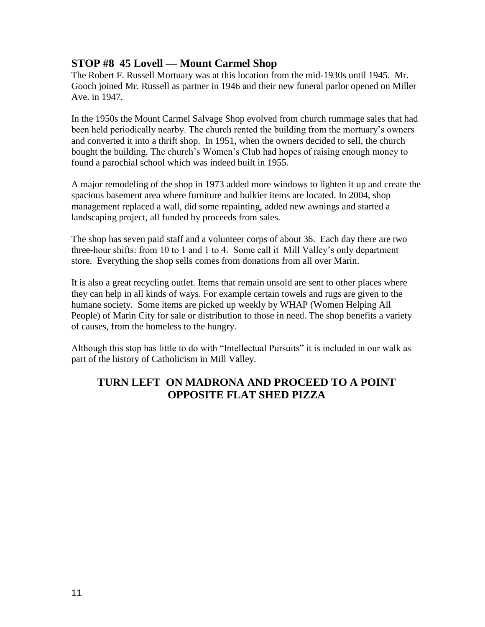#### **STOP #8 45 Lovell — Mount Carmel Shop**

The Robert F. Russell Mortuary was at this location from the mid-1930s until 1945. Mr. Gooch joined Mr. Russell as partner in 1946 and their new funeral parlor opened on Miller Ave. in 1947.

In the 1950s the Mount Carmel Salvage Shop evolved from church rummage sales that had been held periodically nearby. The church rented the building from the mortuary's owners and converted it into a thrift shop. In 1951, when the owners decided to sell, the church bought the building. The church's Women's Club had hopes of raising enough money to found a parochial school which was indeed built in 1955.

A major remodeling of the shop in 1973 added more windows to lighten it up and create the spacious basement area where furniture and bulkier items are located. In 2004, shop management replaced a wall, did some repainting, added new awnings and started a landscaping project, all funded by proceeds from sales.

The shop has seven paid staff and a volunteer corps of about 36. Each day there are two three-hour shifts: from 10 to 1 and 1 to 4. Some call it Mill Valley's only department store. Everything the shop sells comes from donations from all over Marin.

It is also a great recycling outlet. Items that remain unsold are sent to other places where they can help in all kinds of ways. For example certain towels and rugs are given to the humane society. Some items are picked up weekly by WHAP (Women Helping All People) of Marin City for sale or distribution to those in need. The shop benefits a variety of causes, from the homeless to the hungry.

Although this stop has little to do with "Intellectual Pursuits" it is included in our walk as part of the history of Catholicism in Mill Valley.

## **TURN LEFT ON MADRONA AND PROCEED TO A POINT OPPOSITE FLAT SHED PIZZA**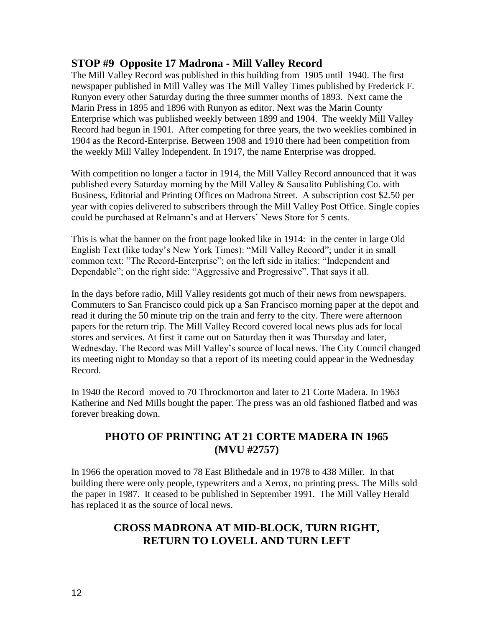#### **STOP #9 Opposite 17 Madrona - Mill Valley Record**

The Mill Valley Record was published in this building from 1905 until 1940. The first newspaper published in Mill Valley was The Mill Valley Times published by Frederick F. Runyon every other Saturday during the three summer months of 1893. Next came the Marin Press in 1895 and 1896 with Runyon as editor. Next was the Marin County Enterprise which was published weekly between 1899 and 1904. The weekly Mill Valley Record had begun in 1901. After competing for three years, the two weeklies combined in 1904 as the Record-Enterprise. Between 1908 and 1910 there had been competition from the weekly Mill Valley Independent. In 1917, the name Enterprise was dropped.

With competition no longer a factor in 1914, the Mill Valley Record announced that it was published every Saturday morning by the Mill Valley & Sausalito Publishing Co. with Business, Editorial and Printing Offices on Madrona Street. A subscription cost \$2.50 per year with copies delivered to subscribers through the Mill Valley Post Office. Single copies could be purchased at Relmann's and at Hervers' News Store for 5 cents.

This is what the banner on the front page looked like in 1914: in the center in large Old English Text (like today's New York Times): "Mill Valley Record"; under it in small common text: "The Record-Enterprise"; on the left side in italics: "Independent and Dependable"; on the right side: "Aggressive and Progressive". That says it all.

In the days before radio, Mill Valley residents got much of their news from newspapers. Commuters to San Francisco could pick up a San Francisco morning paper at the depot and read it during the 50 minute trip on the train and ferry to the city. There were afternoon papers for the return trip. The Mill Valley Record covered local news plus ads for local stores and services. At first it came out on Saturday then it was Thursday and later, Wednesday. The Record was Mill Valley's source of local news. The City Council changed its meeting night to Monday so that a report of its meeting could appear in the Wednesday Record.

In 1940 the Record moved to 70 Throckmorton and later to 21 Corte Madera. In 1963 Katherine and Ned Mills bought the paper. The press was an old fashioned flatbed and was forever breaking down.

#### **PHOTO OF PRINTING AT 21 CORTE MADERA IN 1965 (MVU #2757)**

In 1966 the operation moved to 78 East Blithedale and in 1978 to 438 Miller. In that building there were only people, typewriters and a Xerox, no printing press. The Mills sold the paper in 1987. It ceased to be published in September 1991. The Mill Valley Herald has replaced it as the source of local news.

## **CROSS MADRONA AT MID-BLOCK, TURN RIGHT, RETURN TO LOVELL AND TURN LEFT**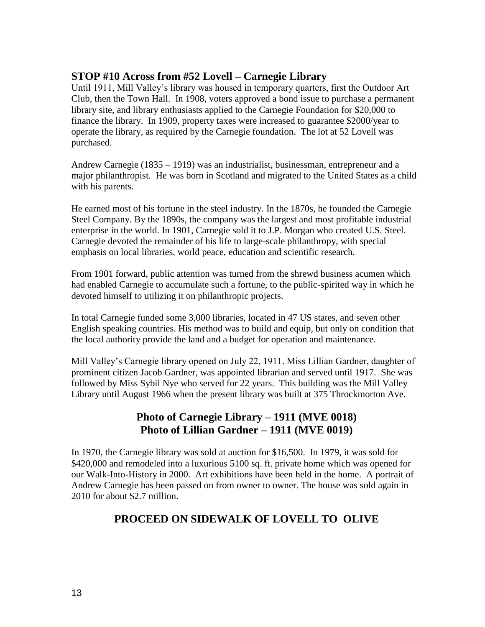#### **STOP #10 Across from #52 Lovell – Carnegie Library**

Until 1911, Mill Valley's library was housed in temporary quarters, first the Outdoor Art Club, then the Town Hall. In 1908, voters approved a bond issue to purchase a permanent library site, and library enthusiasts applied to the Carnegie Foundation for \$20,000 to finance the library. In 1909, property taxes were increased to guarantee \$2000/year to operate the library, as required by the Carnegie foundation. The lot at 52 Lovell was purchased.

Andrew Carnegie (1835 – 1919) was an industrialist, businessman, entrepreneur and a major philanthropist. He was born in Scotland and migrated to the United States as a child with his parents.

He earned most of his fortune in the [steel industry.](http://en.wikipedia.org/wiki/Steel) In the 1870s, he founded the [Carnegie](http://en.wikipedia.org/wiki/Carnegie_Steel_Company)  [Steel Company.](http://en.wikipedia.org/wiki/Carnegie_Steel_Company) By the 1890s, the company was the largest and most profitable industrial enterprise in the world. In 1901, Carnegie sold it to [J.P. Morgan](http://en.wikipedia.org/wiki/J.P._Morgan) who created [U.S. Steel.](http://en.wikipedia.org/wiki/U.S._Steel) Carnegie devoted the remainder of his life to large-scale philanthropy, with special emphasis on local libraries, world peace, education and scientific research.

From 1901 forward, public attention was turned from the shrewd business acumen which had enabled Carnegie to accumulate such a fortune, to the public-spirited way in which he devoted himself to utilizing it on philanthropic projects.

In total Carnegie funded some 3,000 libraries, located in 47 US states, and seven other English speaking countries. His method was to build and equip, but only on condition that the local authority provide the land and a budget for operation and maintenance.

Mill Valley's Carnegie library opened on July 22, 1911. Miss Lillian Gardner, daughter of prominent citizen Jacob Gardner, was appointed librarian and served until 1917. She was followed by Miss Sybil Nye who served for 22 years. This building was the Mill Valley Library until August 1966 when the present library was built at 375 Throckmorton Ave.

## **Photo of Carnegie Library – 1911 (MVE 0018) Photo of Lillian Gardner – 1911 (MVE 0019)**

In 1970, the Carnegie library was sold at auction for \$16,500. In 1979, it was sold for \$420,000 and remodeled into a luxurious 5100 sq. ft. private home which was opened for our Walk-Into-History in 2000. Art exhibitions have been held in the home. A portrait of Andrew Carnegie has been passed on from owner to owner. The house was sold again in 2010 for about \$2.7 million.

## **PROCEED ON SIDEWALK OF LOVELL TO OLIVE**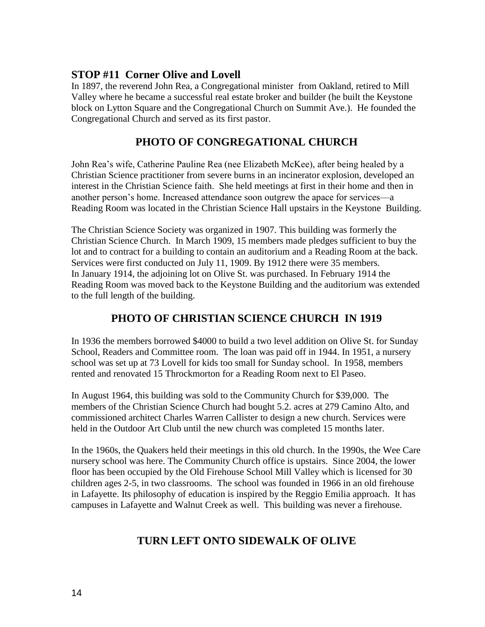### **STOP #11 Corner Olive and Lovell**

In 1897, the reverend John Rea, a Congregational minister from Oakland, retired to Mill Valley where he became a successful real estate broker and builder (he built the Keystone block on Lytton Square and the Congregational Church on Summit Ave.). He founded the Congregational Church and served as its first pastor.

## **PHOTO OF CONGREGATIONAL CHURCH**

John Rea's wife, Catherine Pauline Rea (nee Elizabeth McKee), after being healed by a Christian Science practitioner from severe burns in an incinerator explosion, developed an interest in the Christian Science faith. She held meetings at first in their home and then in another person's home. Increased attendance soon outgrew the apace for services—a Reading Room was located in the Christian Science Hall upstairs in the Keystone Building.

The Christian Science Society was organized in 1907. This building was formerly the Christian Science Church. In March 1909, 15 members made pledges sufficient to buy the lot and to contract for a building to contain an auditorium and a Reading Room at the back. Services were first conducted on July 11, 1909. By 1912 there were 35 members. In January 1914, the adjoining lot on Olive St. was purchased. In February 1914 the Reading Room was moved back to the Keystone Building and the auditorium was extended to the full length of the building.

## **PHOTO OF CHRISTIAN SCIENCE CHURCH IN 1919**

In 1936 the members borrowed \$4000 to build a two level addition on Olive St. for Sunday School, Readers and Committee room. The loan was paid off in 1944. In 1951, a nursery school was set up at 73 Lovell for kids too small for Sunday school. In 1958, members rented and renovated 15 Throckmorton for a Reading Room next to El Paseo.

In August 1964, this building was sold to the Community Church for \$39,000. The members of the Christian Science Church had bought 5.2. acres at 279 Camino Alto, and commissioned architect Charles Warren Callister to design a new church. Services were held in the Outdoor Art Club until the new church was completed 15 months later.

In the 1960s, the Quakers held their meetings in this old church. In the 1990s, the Wee Care nursery school was here. The Community Church office is upstairs. Since 2004, the lower floor has been occupied by the Old Firehouse School Mill Valley which is licensed for 30 children ages 2-5, in two classrooms. The school was founded in 1966 in an old firehouse in Lafayette. Its philosophy of education is inspired by the Reggio Emilia approach. It has campuses in Lafayette and Walnut Creek as well. This building was never a firehouse.

## **TURN LEFT ONTO SIDEWALK OF OLIVE**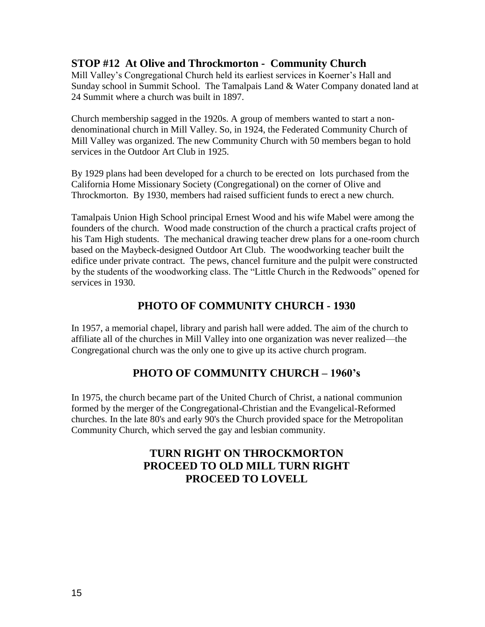#### **STOP #12 At Olive and Throckmorton - Community Church**

Mill Valley's Congregational Church held its earliest services in Koerner's Hall and Sunday school in Summit School. The Tamalpais Land & Water Company donated land at 24 Summit where a church was built in 1897.

Church membership sagged in the 1920s. A group of members wanted to start a nondenominational church in Mill Valley. So, in 1924, the Federated Community Church of Mill Valley was organized. The new Community Church with 50 members began to hold services in the Outdoor Art Club in 1925.

By 1929 plans had been developed for a church to be erected on lots purchased from the California Home Missionary Society (Congregational) on the corner of Olive and Throckmorton. By 1930, members had raised sufficient funds to erect a new church.

Tamalpais Union High School principal Ernest Wood and his wife Mabel were among the founders of the church. Wood made construction of the church a practical crafts project of his Tam High students. The mechanical drawing teacher drew plans for a one-room church based on the Maybeck-designed Outdoor Art Club. The woodworking teacher built the edifice under private contract. The pews, chancel furniture and the pulpit were constructed by the students of the woodworking class. The "Little Church in the Redwoods" opened for services in 1930.

## **PHOTO OF COMMUNITY CHURCH - 1930**

In 1957, a memorial chapel, library and parish hall were added. The aim of the church to affiliate all of the churches in Mill Valley into one organization was never realized—the Congregational church was the only one to give up its active church program.

## **PHOTO OF COMMUNITY CHURCH – 1960's**

In 1975, the church became part of the United Church of Christ, a national communion formed by the merger of the Congregational-Christian and the Evangelical-Reformed churches. In the late 80's and early 90's the Church provided space for the Metropolitan Community Church, which served the gay and lesbian community.

## **TURN RIGHT ON THROCKMORTON PROCEED TO OLD MILL TURN RIGHT PROCEED TO LOVELL**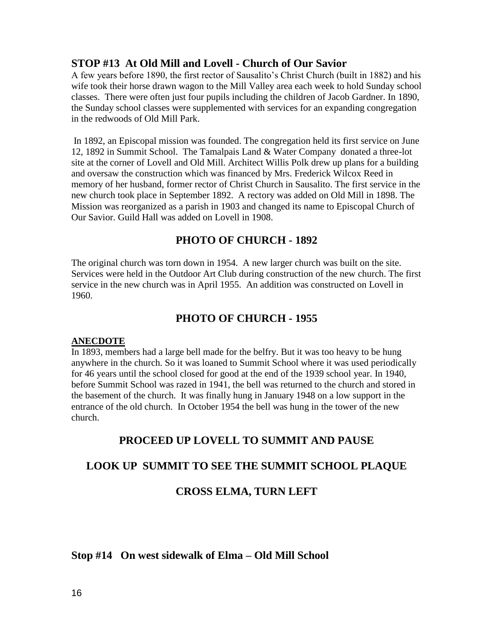#### **STOP #13 At Old Mill and Lovell - Church of Our Savior**

A few years before 1890, the first rector of Sausalito's Christ Church (built in 1882) and his wife took their horse drawn wagon to the Mill Valley area each week to hold Sunday school classes. There were often just four pupils including the children of Jacob Gardner. In 1890, the Sunday school classes were supplemented with services for an expanding congregation in the redwoods of Old Mill Park.

In 1892, an Episcopal mission was founded. The congregation held its first service on June 12, 1892 in Summit School. The Tamalpais Land & Water Company donated a three-lot site at the corner of Lovell and Old Mill. Architect Willis Polk drew up plans for a building and oversaw the construction which was financed by Mrs. Frederick Wilcox Reed in memory of her husband, former rector of Christ Church in Sausalito. The first service in the new church took place in September 1892. A rectory was added on Old Mill in 1898. The Mission was reorganized as a parish in 1903 and changed its name to Episcopal Church of Our Savior. Guild Hall was added on Lovell in 1908.

### **PHOTO OF CHURCH - 1892**

The original church was torn down in 1954. A new larger church was built on the site. Services were held in the Outdoor Art Club during construction of the new church. The first service in the new church was in April 1955. An addition was constructed on Lovell in 1960.

### **PHOTO OF CHURCH - 1955**

#### **ANECDOTE**

In 1893, members had a large bell made for the belfry. But it was too heavy to be hung anywhere in the church. So it was loaned to Summit School where it was used periodically for 46 years until the school closed for good at the end of the 1939 school year. In 1940, before Summit School was razed in 1941, the bell was returned to the church and stored in the basement of the church. It was finally hung in January 1948 on a low support in the entrance of the old church. In October 1954 the bell was hung in the tower of the new church.

### **PROCEED UP LOVELL TO SUMMIT AND PAUSE**

### **LOOK UP SUMMIT TO SEE THE SUMMIT SCHOOL PLAQUE**

### **CROSS ELMA, TURN LEFT**

#### **Stop #14 On west sidewalk of Elma – Old Mill School**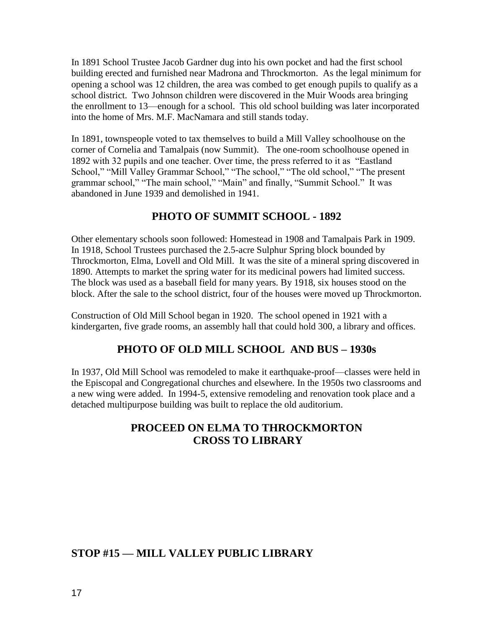In 1891 School Trustee Jacob Gardner dug into his own pocket and had the first school building erected and furnished near Madrona and Throckmorton. As the legal minimum for opening a school was 12 children, the area was combed to get enough pupils to qualify as a school district. Two Johnson children were discovered in the Muir Woods area bringing the enrollment to 13—enough for a school. This old school building was later incorporated into the home of Mrs. M.F. MacNamara and still stands today.

In 1891, townspeople voted to tax themselves to build a Mill Valley schoolhouse on the corner of Cornelia and Tamalpais (now Summit). The one-room schoolhouse opened in 1892 with 32 pupils and one teacher. Over time, the press referred to it as "Eastland School," "Mill Valley Grammar School," "The school," "The old school," "The present grammar school," "The main school," "Main" and finally, "Summit School." It was abandoned in June 1939 and demolished in 1941.

## **PHOTO OF SUMMIT SCHOOL - 1892**

Other elementary schools soon followed: Homestead in 1908 and Tamalpais Park in 1909. In 1918, School Trustees purchased the 2.5-acre Sulphur Spring block bounded by Throckmorton, Elma, Lovell and Old Mill. It was the site of a mineral spring discovered in 1890. Attempts to market the spring water for its medicinal powers had limited success. The block was used as a baseball field for many years. By 1918, six houses stood on the block. After the sale to the school district, four of the houses were moved up Throckmorton.

Construction of Old Mill School began in 1920. The school opened in 1921 with a kindergarten, five grade rooms, an assembly hall that could hold 300, a library and offices.

## **PHOTO OF OLD MILL SCHOOL AND BUS – 1930s**

In 1937, Old Mill School was remodeled to make it earthquake-proof—classes were held in the Episcopal and Congregational churches and elsewhere. In the 1950s two classrooms and a new wing were added. In 1994-5, extensive remodeling and renovation took place and a detached multipurpose building was built to replace the old auditorium.

### **PROCEED ON ELMA TO THROCKMORTON CROSS TO LIBRARY**

### **STOP #15 — MILL VALLEY PUBLIC LIBRARY**